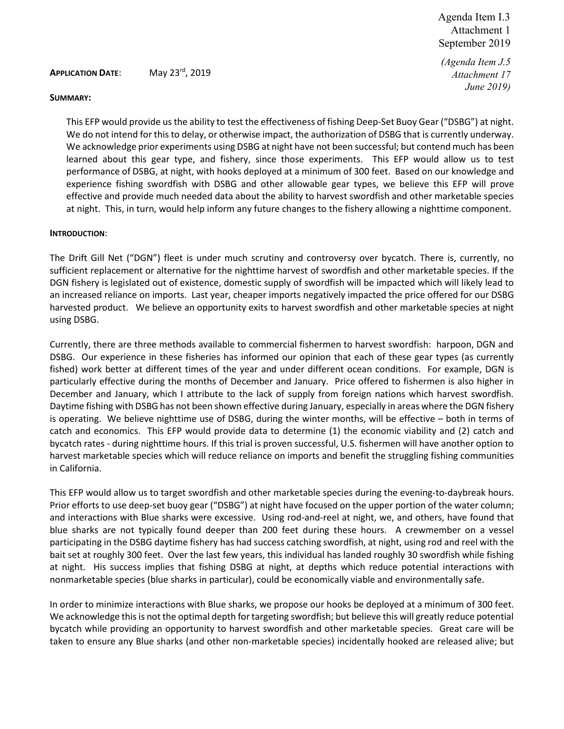*(Agenda Item J.5 Attachment 17 June 2019)*

#### **APPLICATION DATE**: May 23rd, 2019

#### **SUMMARY:**

This EFP would provide us the ability to test the effectiveness of fishing Deep-Set Buoy Gear ("DSBG") at night. We do not intend for this to delay, or otherwise impact, the authorization of DSBG that is currently underway. We acknowledge prior experiments using DSBG at night have not been successful; but contend much has been learned about this gear type, and fishery, since those experiments. This EFP would allow us to test performance of DSBG, at night, with hooks deployed at a minimum of 300 feet. Based on our knowledge and experience fishing swordfish with DSBG and other allowable gear types, we believe this EFP will prove effective and provide much needed data about the ability to harvest swordfish and other marketable species at night. This, in turn, would help inform any future changes to the fishery allowing a nighttime component.

#### **INTRODUCTION**:

The Drift Gill Net ("DGN") fleet is under much scrutiny and controversy over bycatch. There is, currently, no sufficient replacement or alternative for the nighttime harvest of swordfish and other marketable species. If the DGN fishery is legislated out of existence, domestic supply of swordfish will be impacted which will likely lead to an increased reliance on imports. Last year, cheaper imports negatively impacted the price offered for our DSBG harvested product. We believe an opportunity exits to harvest swordfish and other marketable species at night using DSBG.

Currently, there are three methods available to commercial fishermen to harvest swordfish: harpoon, DGN and DSBG. Our experience in these fisheries has informed our opinion that each of these gear types (as currently fished) work better at different times of the year and under different ocean conditions. For example, DGN is particularly effective during the months of December and January. Price offered to fishermen is also higher in December and January, which I attribute to the lack of supply from foreign nations which harvest swordfish. Daytime fishing with DSBG has not been shown effective during January, especially in areas where the DGN fishery is operating. We believe nighttime use of DSBG, during the winter months, will be effective – both in terms of catch and economics. This EFP would provide data to determine (1) the economic viability and (2) catch and bycatch rates - during nighttime hours. If this trial is proven successful, U.S. fishermen will have another option to harvest marketable species which will reduce reliance on imports and benefit the struggling fishing communities in California.

This EFP would allow us to target swordfish and other marketable species during the evening-to-daybreak hours. Prior efforts to use deep-set buoy gear ("DSBG") at night have focused on the upper portion of the water column; and interactions with Blue sharks were excessive. Using rod-and-reel at night, we, and others, have found that blue sharks are not typically found deeper than 200 feet during these hours. A crewmember on a vessel participating in the DSBG daytime fishery has had success catching swordfish, at night, using rod and reel with the bait set at roughly 300 feet. Over the last few years, this individual has landed roughly 30 swordfish while fishing at night. His success implies that fishing DSBG at night, at depths which reduce potential interactions with nonmarketable species (blue sharks in particular), could be economically viable and environmentally safe.

In order to minimize interactions with Blue sharks, we propose our hooks be deployed at a minimum of 300 feet. We acknowledge this is not the optimal depth for targeting swordfish; but believe this will greatly reduce potential bycatch while providing an opportunity to harvest swordfish and other marketable species. Great care will be taken to ensure any Blue sharks (and other non-marketable species) incidentally hooked are released alive; but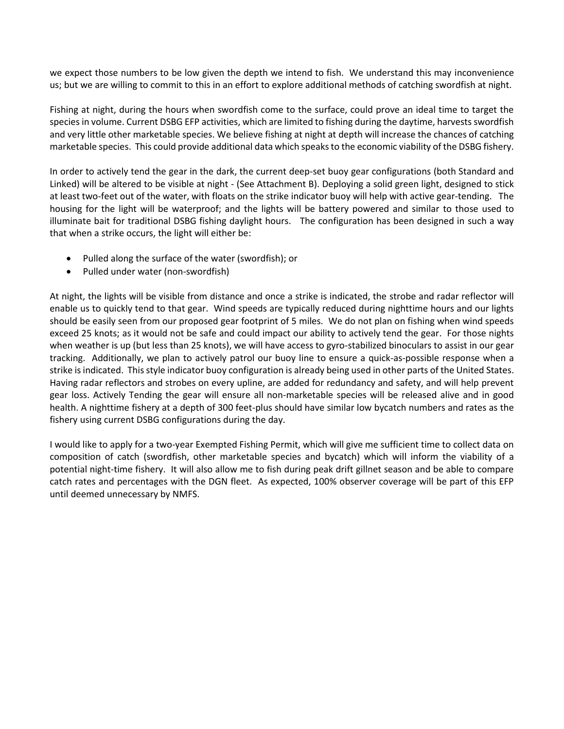we expect those numbers to be low given the depth we intend to fish. We understand this may inconvenience us; but we are willing to commit to this in an effort to explore additional methods of catching swordfish at night.

Fishing at night, during the hours when swordfish come to the surface, could prove an ideal time to target the species in volume. Current DSBG EFP activities, which are limited to fishing during the daytime, harvests swordfish and very little other marketable species. We believe fishing at night at depth will increase the chances of catching marketable species. This could provide additional data which speaks to the economic viability of the DSBG fishery.

In order to actively tend the gear in the dark, the current deep-set buoy gear configurations (both Standard and Linked) will be altered to be visible at night - (See Attachment B). Deploying a solid green light, designed to stick at least two-feet out of the water, with floats on the strike indicator buoy will help with active gear-tending. The housing for the light will be waterproof; and the lights will be battery powered and similar to those used to illuminate bait for traditional DSBG fishing daylight hours. The configuration has been designed in such a way that when a strike occurs, the light will either be:

- Pulled along the surface of the water (swordfish); or
- Pulled under water (non-swordfish)

At night, the lights will be visible from distance and once a strike is indicated, the strobe and radar reflector will enable us to quickly tend to that gear. Wind speeds are typically reduced during nighttime hours and our lights should be easily seen from our proposed gear footprint of 5 miles. We do not plan on fishing when wind speeds exceed 25 knots; as it would not be safe and could impact our ability to actively tend the gear. For those nights when weather is up (but less than 25 knots), we will have access to gyro-stabilized binoculars to assist in our gear tracking. Additionally, we plan to actively patrol our buoy line to ensure a quick-as-possible response when a strike is indicated. This style indicator buoy configuration is already being used in other parts of the United States. Having radar reflectors and strobes on every upline, are added for redundancy and safety, and will help prevent gear loss. Actively Tending the gear will ensure all non-marketable species will be released alive and in good health. A nighttime fishery at a depth of 300 feet-plus should have similar low bycatch numbers and rates as the fishery using current DSBG configurations during the day.

I would like to apply for a two-year Exempted Fishing Permit, which will give me sufficient time to collect data on composition of catch (swordfish, other marketable species and bycatch) which will inform the viability of a potential night-time fishery. It will also allow me to fish during peak drift gillnet season and be able to compare catch rates and percentages with the DGN fleet. As expected, 100% observer coverage will be part of this EFP until deemed unnecessary by NMFS.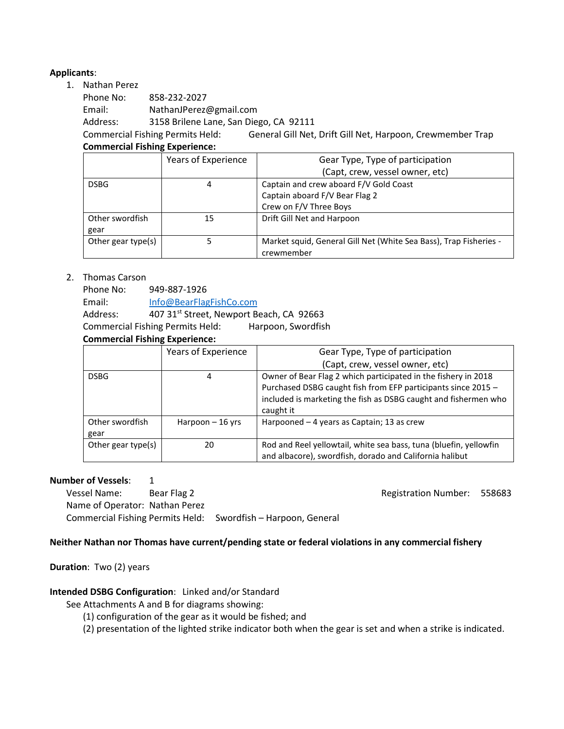## **Applicants**:

1. Nathan Perez

| Phone No: | 858-232-2027                           |
|-----------|----------------------------------------|
| Email:    | NathanJPerez@gmail.com                 |
| Address:  | 3158 Brilene Lane, San Diego, CA 92111 |
|           |                                        |

Commercial Fishing Permits Held: General Gill Net, Drift Gill Net, Harpoon, Crewmember Trap **Commercial Fishing Experience:**

|                    | Years of Experience | Gear Type, Type of participation                                  |  |
|--------------------|---------------------|-------------------------------------------------------------------|--|
|                    |                     | (Capt, crew, vessel owner, etc)                                   |  |
| <b>DSBG</b>        | 4                   | Captain and crew aboard F/V Gold Coast                            |  |
|                    |                     | Captain aboard F/V Bear Flag 2                                    |  |
|                    |                     | Crew on F/V Three Boys                                            |  |
| Other swordfish    | 15                  | Drift Gill Net and Harpoon                                        |  |
| gear               |                     |                                                                   |  |
| Other gear type(s) |                     | Market squid, General Gill Net (White Sea Bass), Trap Fisheries - |  |
|                    |                     | crewmember                                                        |  |

#### 2. Thomas Carson

Phone No: 949-887-1926 Email: [Info@BearFlagFishCo.com](mailto:Info@BearFlagFishCo.com) Address: 407 31<sup>st</sup> Street, Newport Beach, CA 92663 Commercial Fishing Permits Held: Harpoon, Swordfish

## **Commercial Fishing Experience:**

|                    | Years of Experience | Gear Type, Type of participation                                                                                                |  |
|--------------------|---------------------|---------------------------------------------------------------------------------------------------------------------------------|--|
|                    |                     | (Capt, crew, vessel owner, etc)                                                                                                 |  |
| <b>DSBG</b>        | 4                   | Owner of Bear Flag 2 which participated in the fishery in 2018<br>Purchased DSBG caught fish from EFP participants since 2015 - |  |
|                    |                     |                                                                                                                                 |  |
|                    |                     | included is marketing the fish as DSBG caught and fishermen who                                                                 |  |
|                    |                     | caught it                                                                                                                       |  |
| Other swordfish    | Harpoon $-16$ yrs   | Harpooned – 4 years as Captain; 13 as crew                                                                                      |  |
| gear               |                     |                                                                                                                                 |  |
| Other gear type(s) | 20                  | Rod and Reel yellowtail, white sea bass, tuna (bluefin, yellowfin                                                               |  |
|                    |                     | and albacore), swordfish, dorado and California halibut                                                                         |  |

#### **Number of Vessels:** 1

Vessel Name: Bear Flag 2 and 2 Registration Number: 558683 Name of Operator: Nathan Perez Commercial Fishing Permits Held: Swordfish – Harpoon, General

#### **Neither Nathan nor Thomas have current/pending state or federal violations in any commercial fishery**

#### **Duration**: Two (2) years

#### **Intended DSBG Configuration**: Linked and/or Standard

See Attachments A and B for diagrams showing:

- (1) configuration of the gear as it would be fished; and
- (2) presentation of the lighted strike indicator both when the gear is set and when a strike is indicated.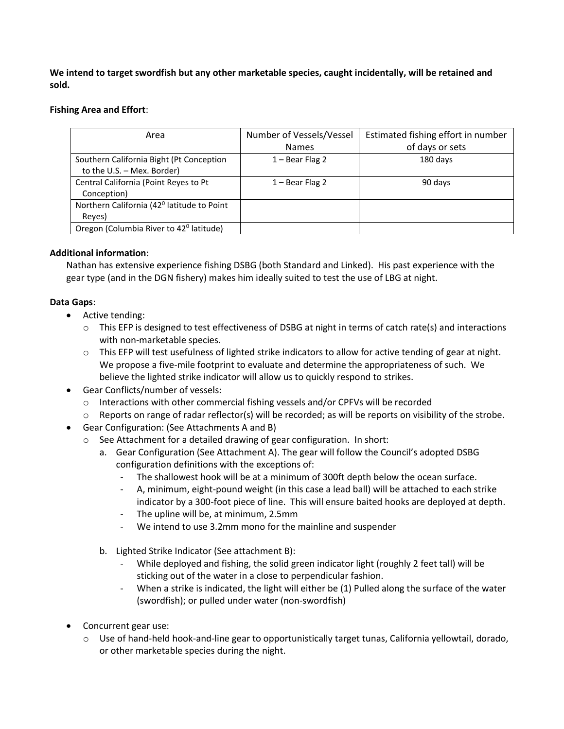**We intend to target swordfish but any other marketable species, caught incidentally, will be retained and sold.** 

### **Fishing Area and Effort**:

| Area                                                                   | Number of Vessels/Vessel | Estimated fishing effort in number |
|------------------------------------------------------------------------|--------------------------|------------------------------------|
|                                                                        | <b>Names</b>             | of days or sets                    |
| Southern California Bight (Pt Conception<br>to the U.S. - Mex. Border) | $1 -$ Bear Flag 2        | 180 days                           |
| Central California (Point Reyes to Pt<br>Conception)                   | $1 -$ Bear Flag 2        | 90 days                            |
| Northern California (42 <sup>0</sup> latitude to Point<br>Reyes)       |                          |                                    |
| Oregon (Columbia River to 42 <sup>0</sup> latitude)                    |                          |                                    |

## **Additional information**:

Nathan has extensive experience fishing DSBG (both Standard and Linked). His past experience with the gear type (and in the DGN fishery) makes him ideally suited to test the use of LBG at night.

## **Data Gaps**:

- Active tending:
	- $\circ$  This EFP is designed to test effectiveness of DSBG at night in terms of catch rate(s) and interactions with non-marketable species.
	- $\circ$  This EFP will test usefulness of lighted strike indicators to allow for active tending of gear at night. We propose a five-mile footprint to evaluate and determine the appropriateness of such. We believe the lighted strike indicator will allow us to quickly respond to strikes.
- Gear Conflicts/number of vessels:
	- $\circ$  Interactions with other commercial fishing vessels and/or CPFVs will be recorded
	- $\circ$  Reports on range of radar reflector(s) will be recorded; as will be reports on visibility of the strobe.
- Gear Configuration: (See Attachments A and B)
	- o See Attachment for a detailed drawing of gear configuration. In short:
		- a. Gear Configuration (See Attachment A). The gear will follow the Council's adopted DSBG configuration definitions with the exceptions of:
			- The shallowest hook will be at a minimum of 300ft depth below the ocean surface.
			- A, minimum, eight-pound weight (in this case a lead ball) will be attached to each strike indicator by a 300-foot piece of line. This will ensure baited hooks are deployed at depth.
			- The upline will be, at minimum, 2.5mm
			- We intend to use 3.2mm mono for the mainline and suspender
		- b. Lighted Strike Indicator (See attachment B):
			- While deployed and fishing, the solid green indicator light (roughly 2 feet tall) will be sticking out of the water in a close to perpendicular fashion.
			- When a strike is indicated, the light will either be (1) Pulled along the surface of the water (swordfish); or pulled under water (non-swordfish)
- Concurrent gear use:
	- $\circ$  Use of hand-held hook-and-line gear to opportunistically target tunas, California yellowtail, dorado, or other marketable species during the night.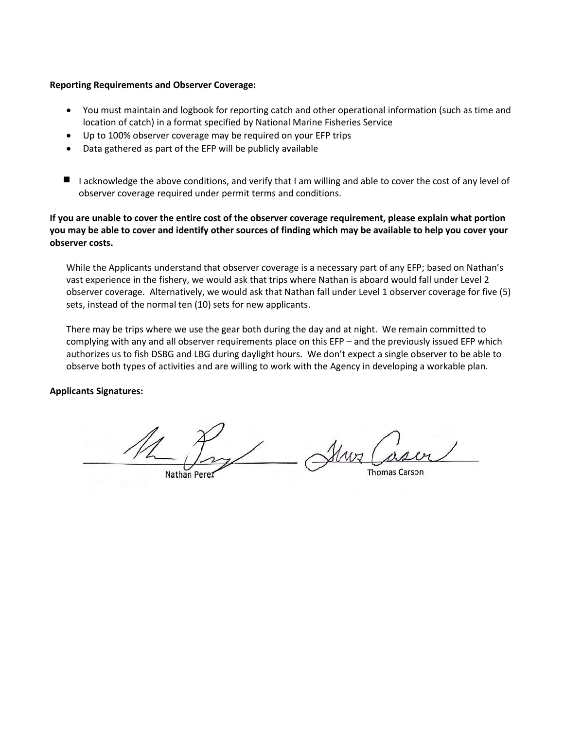#### **Reporting Requirements and Observer Coverage:**

- You must maintain and logbook for reporting catch and other operational information (such as time and location of catch) in a format specified by National Marine Fisheries Service
- Up to 100% observer coverage may be required on your EFP trips
- Data gathered as part of the EFP will be publicly available
- I acknowledge the above conditions, and verify that I am willing and able to cover the cost of any level of observer coverage required under permit terms and conditions.

## **If you are unable to cover the entire cost of the observer coverage requirement, please explain what portion you may be able to cover and identify other sources of finding which may be available to help you cover your observer costs.**

While the Applicants understand that observer coverage is a necessary part of any EFP; based on Nathan's vast experience in the fishery, we would ask that trips where Nathan is aboard would fall under Level 2 observer coverage. Alternatively, we would ask that Nathan fall under Level 1 observer coverage for five (5) sets, instead of the normal ten (10) sets for new applicants.

There may be trips where we use the gear both during the day and at night. We remain committed to complying with any and all observer requirements place on this EFP – and the previously issued EFP which authorizes us to fish DSBG and LBG during daylight hours. We don't expect a single observer to be able to observe both types of activities and are willing to work with the Agency in developing a workable plan.

#### **Applicants Signatures:**

**Thomas Carson** Nathan Perez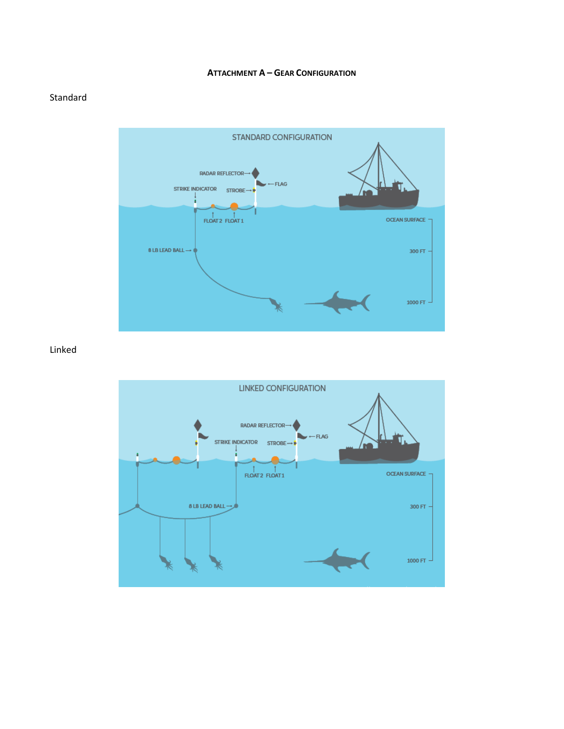#### **ATTACHMENT A - GEAR CONFIGURATION**

## Standard



## Linked

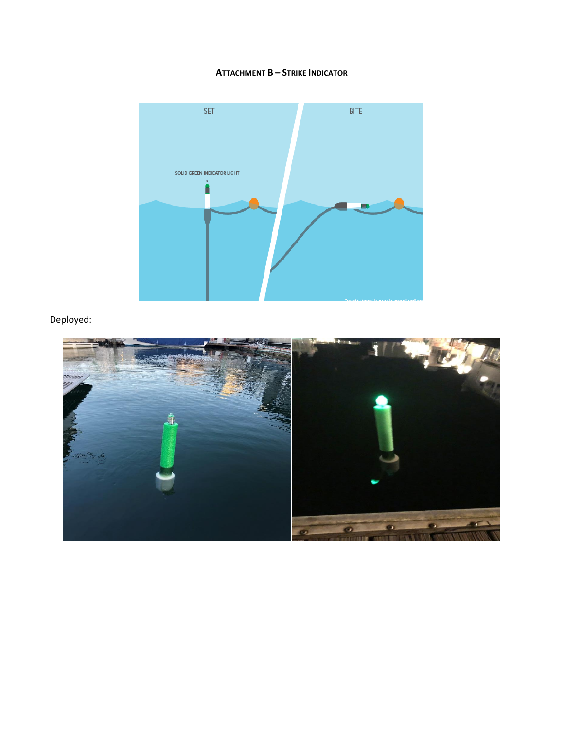#### **ATTACHMENT B - STRIKE INDICATOR**



## Deployed: